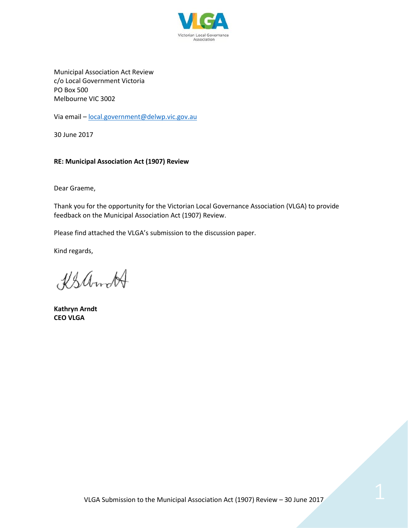

Municipal Association Act Review c/o Local Government Victoria PO Box 500 Melbourne VIC 3002

Via email - [local.government@delwp.vic.gov.au](mailto:local.government@delwp.vic.gov.au)

30 June 2017

#### **RE: Municipal Association Act (1907) Review**

Dear Graeme,

Thank you for the opportunity for the Victorian Local Governance Association (VLGA) to provide feedback on the Municipal Association Act (1907) Review.

Please find attached the VLGA's submission to the discussion paper.

Kind regards,

KSamcH

**Kathryn Arndt CEO VLGA**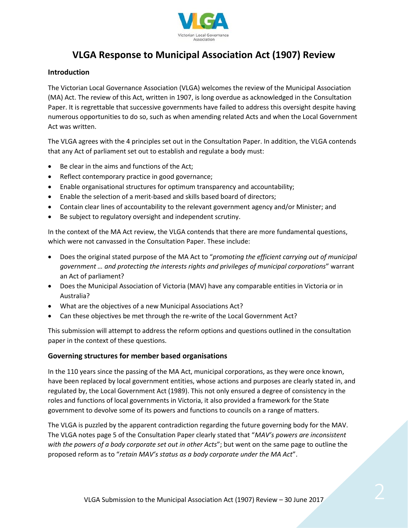

# **VLGA Response to Municipal Association Act (1907) Review**

### **Introduction**

The Victorian Local Governance Association (VLGA) welcomes the review of the Municipal Association (MA) Act. The review of this Act, written in 1907, is long overdue as acknowledged in the Consultation Paper. It is regrettable that successive governments have failed to address this oversight despite having numerous opportunities to do so, such as when amending related Acts and when the Local Government Act was written.

The VLGA agrees with the 4 principles set out in the Consultation Paper. In addition, the VLGA contends that any Act of parliament set out to establish and regulate a body must:

- Be clear in the aims and functions of the Act;
- Reflect contemporary practice in good governance;
- Enable organisational structures for optimum transparency and accountability;
- Enable the selection of a merit-based and skills based board of directors;
- Contain clear lines of accountability to the relevant government agency and/or Minister; and
- Be subject to regulatory oversight and independent scrutiny.

In the context of the MA Act review, the VLGA contends that there are more fundamental questions, which were not canvassed in the Consultation Paper. These include:

- Does the original stated purpose of the MA Act to "*promoting the efficient carrying out of municipal government … and protecting the interests rights and privileges of municipal corporations*" warrant an Act of parliament?
- Does the Municipal Association of Victoria (MAV) have any comparable entities in Victoria or in Australia?
- What are the objectives of a new Municipal Associations Act?
- Can these objectives be met through the re-write of the Local Government Act?

This submission will attempt to address the reform options and questions outlined in the consultation paper in the context of these questions.

#### **Governing structures for member based organisations**

In the 110 years since the passing of the MA Act, municipal corporations, as they were once known, have been replaced by local government entities, whose actions and purposes are clearly stated in, and regulated by, the Local Government Act (1989). This not only ensured a degree of consistency in the roles and functions of local governments in Victoria, it also provided a framework for the State government to devolve some of its powers and functions to councils on a range of matters.

The VLGA is puzzled by the apparent contradiction regarding the future governing body for the MAV. The VLGA notes page 5 of the Consultation Paper clearly stated that "*MAV's powers are inconsistent with the powers of a body corporate set out in other Acts*"; but went on the same page to outline the proposed reform as to "*retain MAV's status as a body corporate under the MA Act*".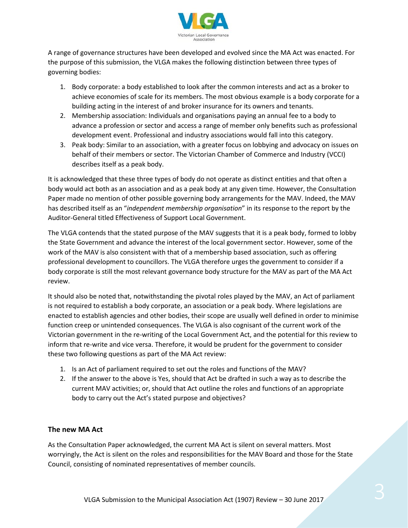

A range of governance structures have been developed and evolved since the MA Act was enacted. For the purpose of this submission, the VLGA makes the following distinction between three types of governing bodies:

- 1. Body corporate: a body established to look after the common interests and act as a broker to achieve economies of scale for its members. The most obvious example is a body corporate for a building acting in the interest of and broker insurance for its owners and tenants.
- 2. Membership association: Individuals and organisations paying an annual fee to a body to advance a profession or sector and access a range of member only benefits such as professional development event. Professional and industry associations would fall into this category.
- 3. Peak body: Similar to an association, with a greater focus on lobbying and advocacy on issues on behalf of their members or sector. The Victorian Chamber of Commerce and Industry (VCCI) describes itself as a peak body.

It is acknowledged that these three types of body do not operate as distinct entities and that often a body would act both as an association and as a peak body at any given time. However, the Consultation Paper made no mention of other possible governing body arrangements for the MAV. Indeed, the MAV has described itself as an "*independent membership organisation*" in its response to the report by the Auditor-General titled Effectiveness of Support Local Government.

The VLGA contends that the stated purpose of the MAV suggests that it is a peak body, formed to lobby the State Government and advance the interest of the local government sector. However, some of the work of the MAV is also consistent with that of a membership based association, such as offering professional development to councillors. The VLGA therefore urges the government to consider if a body corporate is still the most relevant governance body structure for the MAV as part of the MA Act review.

It should also be noted that, notwithstanding the pivotal roles played by the MAV, an Act of parliament is not required to establish a body corporate, an association or a peak body. Where legislations are enacted to establish agencies and other bodies, their scope are usually well defined in order to minimise function creep or unintended consequences. The VLGA is also cognisant of the current work of the Victorian government in the re-writing of the Local Government Act, and the potential for this review to inform that re-write and vice versa. Therefore, it would be prudent for the government to consider these two following questions as part of the MA Act review:

- 1. Is an Act of parliament required to set out the roles and functions of the MAV?
- 2. If the answer to the above is Yes, should that Act be drafted in such a way as to describe the current MAV activities; or, should that Act outline the roles and functions of an appropriate body to carry out the Act's stated purpose and objectives?

## **The new MA Act**

As the Consultation Paper acknowledged, the current MA Act is silent on several matters. Most worryingly, the Act is silent on the roles and responsibilities for the MAV Board and those for the State Council, consisting of nominated representatives of member councils.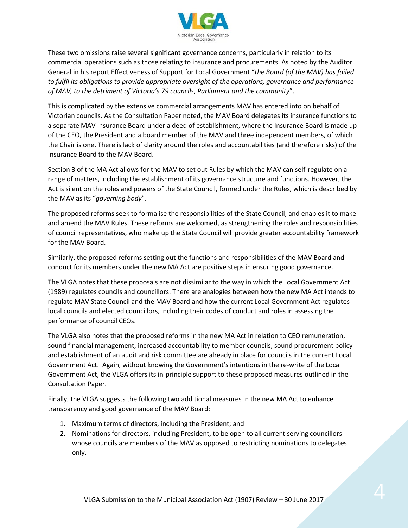

These two omissions raise several significant governance concerns, particularly in relation to its commercial operations such as those relating to insurance and procurements. As noted by the Auditor General in his report Effectiveness of Support for Local Government "*the Board (of the MAV) has failed to fulfil its obligations to provide appropriate oversight of the operations, governance and performance of MAV, to the detriment of Victoria's 79 councils, Parliament and the community*".

This is complicated by the extensive commercial arrangements MAV has entered into on behalf of Victorian councils. As the Consultation Paper noted, the MAV Board delegates its insurance functions to a separate MAV Insurance Board under a deed of establishment, where the Insurance Board is made up of the CEO, the President and a board member of the MAV and three independent members, of which the Chair is one. There is lack of clarity around the roles and accountabilities (and therefore risks) of the Insurance Board to the MAV Board.

Section 3 of the MA Act allows for the MAV to set out Rules by which the MAV can self-regulate on a range of matters, including the establishment of its governance structure and functions. However, the Act is silent on the roles and powers of the State Council, formed under the Rules, which is described by the MAV as its "*governing body*".

The proposed reforms seek to formalise the responsibilities of the State Council, and enables it to make and amend the MAV Rules. These reforms are welcomed, as strengthening the roles and responsibilities of council representatives, who make up the State Council will provide greater accountability framework for the MAV Board.

Similarly, the proposed reforms setting out the functions and responsibilities of the MAV Board and conduct for its members under the new MA Act are positive steps in ensuring good governance.

The VLGA notes that these proposals are not dissimilar to the way in which the Local Government Act (1989) regulates councils and councillors. There are analogies between how the new MA Act intends to regulate MAV State Council and the MAV Board and how the current Local Government Act regulates local councils and elected councillors, including their codes of conduct and roles in assessing the performance of council CEOs.

The VLGA also notes that the proposed reforms in the new MA Act in relation to CEO remuneration, sound financial management, increased accountability to member councils, sound procurement policy and establishment of an audit and risk committee are already in place for councils in the current Local Government Act. Again, without knowing the Government's intentions in the re-write of the Local Government Act, the VLGA offers its in-principle support to these proposed measures outlined in the Consultation Paper.

Finally, the VLGA suggests the following two additional measures in the new MA Act to enhance transparency and good governance of the MAV Board:

- 1. Maximum terms of directors, including the President; and
- 2. Nominations for directors, including President, to be open to all current serving councillors whose councils are members of the MAV as opposed to restricting nominations to delegates only.